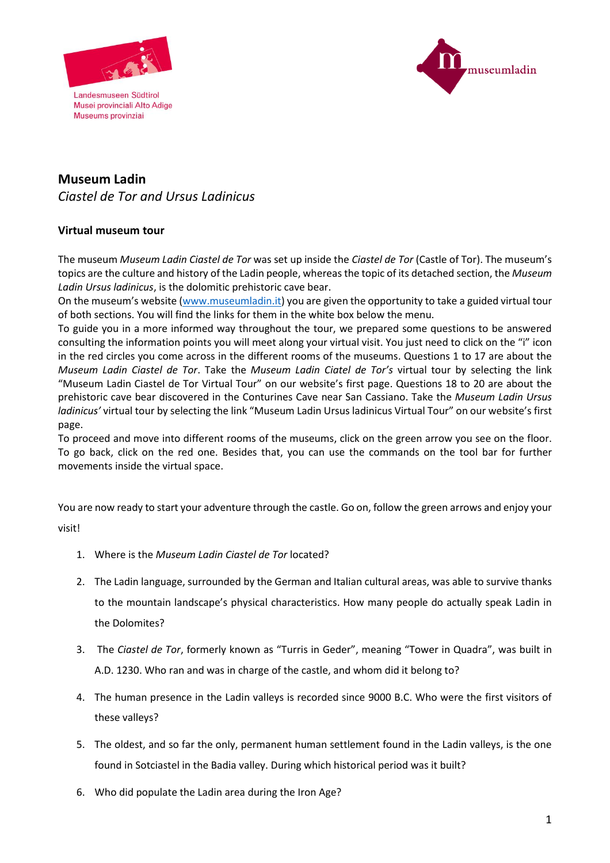

Landesmuseen Südtirol Museums provinziai



## **Museum Ladin**  *Ciastel de Tor and Ursus Ladinicus*

## **Virtual museum tour**

The museum *Museum Ladin Ciastel de Tor* was set up inside the *Ciastel de Tor* (Castle of Tor). The museum's topics are the culture and history of the Ladin people, whereas the topic of its detached section, the *Museum Ladin Ursus ladinicus*, is the dolomitic prehistoric cave bear.

On the museum's website [\(www.museumladin.it\)](http://www.museumladin.it/) you are given the opportunity to take a guided virtual tour of both sections. You will find the links for them in the white box below the menu.

To guide you in a more informed way throughout the tour, we prepared some questions to be answered consulting the information points you will meet along your virtual visit. You just need to click on the "i" icon in the red circles you come across in the different rooms of the museums. Questions 1 to 17 are about the *Museum Ladin Ciastel de Tor*. Take the *Museum Ladin Ciatel de Tor's* virtual tour by selecting the link "Museum Ladin Ciastel de Tor Virtual Tour" on our website's first page. Questions 18 to 20 are about the prehistoric cave bear discovered in the Conturines Cave near San Cassiano. Take the *Museum Ladin Ursus ladinicus'* virtual tour by selecting the link "Museum Ladin Ursus ladinicus Virtual Tour" on our website's first page.

To proceed and move into different rooms of the museums, click on the green arrow you see on the floor. To go back, click on the red one. Besides that, you can use the commands on the tool bar for further movements inside the virtual space.

You are now ready to start your adventure through the castle. Go on, follow the green arrows and enjoy your visit!

1. Where is the *Museum Ladin Ciastel de Tor* located?

- 2. The Ladin language, surrounded by the German and Italian cultural areas, was able to survive thanks to the mountain landscape's physical characteristics. How many people do actually speak Ladin in the Dolomites?
- 3. The *Ciastel de Tor*, formerly known as "Turris in Geder", meaning "Tower in Quadra", was built in A.D. 1230. Who ran and was in charge of the castle, and whom did it belong to?
- 4. The human presence in the Ladin valleys is recorded since 9000 B.C. Who were the first visitors of these valleys?
- 5. The oldest, and so far the only, permanent human settlement found in the Ladin valleys, is the one found in Sotciastel in the Badia valley. During which historical period was it built?
- 6. Who did populate the Ladin area during the Iron Age?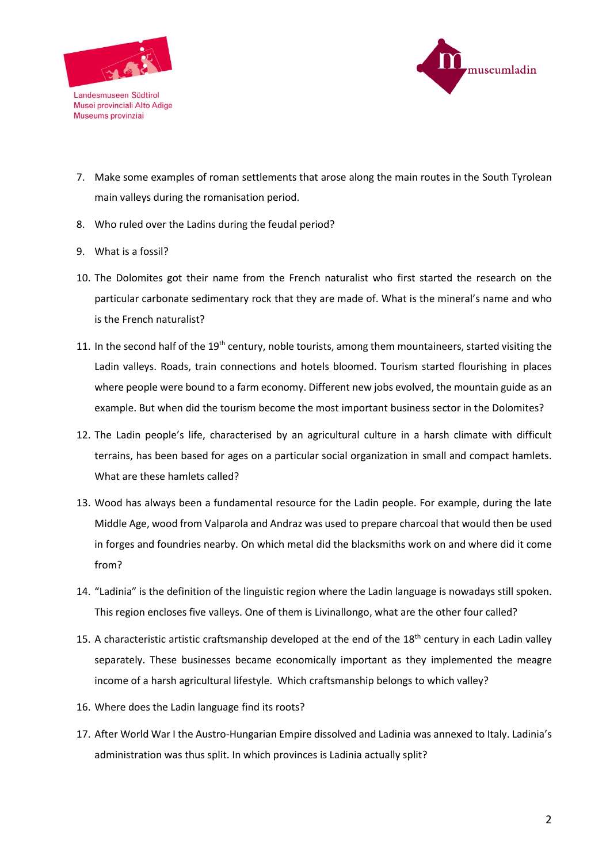



- Landesmuseen Südtirol Museums provinziai
- 7. Make some examples of roman settlements that arose along the main routes in the South Tyrolean main valleys during the romanisation period.
- 8. Who ruled over the Ladins during the feudal period?
- 9. What is a fossil?
- 10. The Dolomites got their name from the French naturalist who first started the research on the particular carbonate sedimentary rock that they are made of. What is the mineral's name and who is the French naturalist?
- 11. In the second half of the 19<sup>th</sup> century, noble tourists, among them mountaineers, started visiting the Ladin valleys. Roads, train connections and hotels bloomed. Tourism started flourishing in places where people were bound to a farm economy. Different new jobs evolved, the mountain guide as an example. But when did the tourism become the most important business sector in the Dolomites?
- 12. The Ladin people's life, characterised by an agricultural culture in a harsh climate with difficult terrains, has been based for ages on a particular social organization in small and compact hamlets. What are these hamlets called?
- 13. Wood has always been a fundamental resource for the Ladin people. For example, during the late Middle Age, wood from Valparola and Andraz was used to prepare charcoal that would then be used in forges and foundries nearby. On which metal did the blacksmiths work on and where did it come from?
- 14. "Ladinia" is the definition of the linguistic region where the Ladin language is nowadays still spoken. This region encloses five valleys. One of them is Livinallongo, what are the other four called?
- 15. A characteristic artistic craftsmanship developed at the end of the 18<sup>th</sup> century in each Ladin valley separately. These businesses became economically important as they implemented the meagre income of a harsh agricultural lifestyle. Which craftsmanship belongs to which valley?
- 16. Where does the Ladin language find its roots?
- 17. After World War I the Austro-Hungarian Empire dissolved and Ladinia was annexed to Italy. Ladinia's administration was thus split. In which provinces is Ladinia actually split?